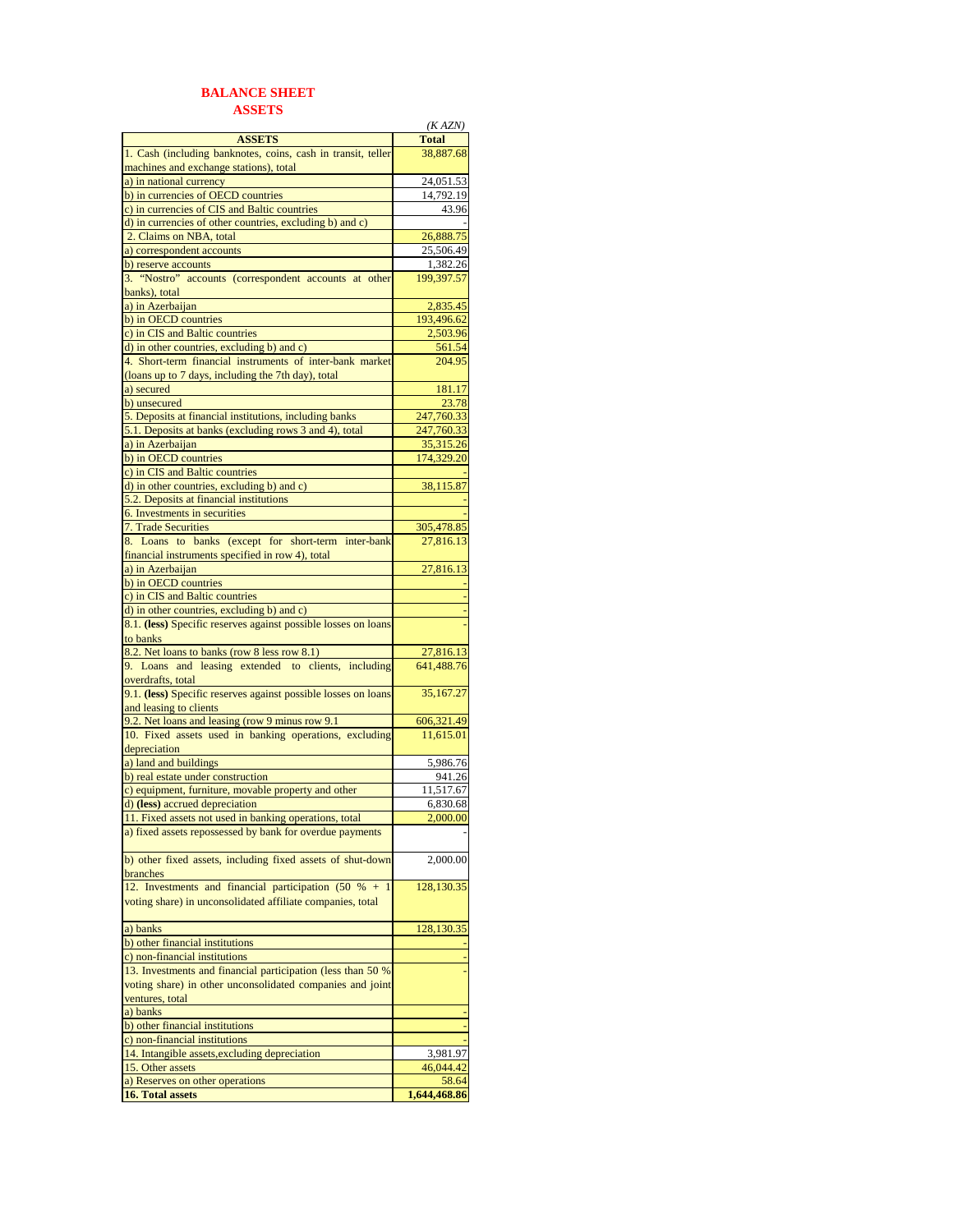## **BALANCE SHEET ASSETS**

|                                                                | (KAZN)       |
|----------------------------------------------------------------|--------------|
| <b>ASSETS</b>                                                  | <b>Total</b> |
| 1. Cash (including banknotes, coins, cash in transit, teller   | 38,887.68    |
| machines and exchange stations), total                         |              |
| a) in national currency                                        | 24,051.53    |
| b) in currencies of OECD countries                             | 14,792.19    |
| c) in currencies of CIS and Baltic countries                   | 43.96        |
| d) in currencies of other countries, excluding b) and c)       |              |
| 2. Claims on NBA, total                                        | 26,888.75    |
| a) correspondent accounts                                      | 25,506.49    |
| b) reserve accounts                                            | 1,382.26     |
| 3. "Nostro" accounts (correspondent accounts at other          | 199,397.57   |
| banks), total                                                  |              |
| a) in Azerbaijan                                               | 2,835.45     |
| b) in OECD countries                                           | 193,496.62   |
| c) in CIS and Baltic countries                                 | 2,503.96     |
| d) in other countries, excluding b) and c)                     | 561.54       |
| 4. Short-term financial instruments of inter-bank market       | 204.95       |
| (loans up to 7 days, including the 7th day), total             |              |
| a) secured                                                     | 181.17       |
| b) unsecured                                                   | 23.78        |
| 5. Deposits at financial institutions, including banks         | 247,760.33   |
| 5.1. Deposits at banks (excluding rows 3 and 4), total         | 247,760.33   |
| a) in Azerbaijan                                               | 35,315.26    |
| b) in OECD countries                                           | 174,329.20   |
| c) in CIS and Baltic countries                                 |              |
| d) in other countries, excluding b) and c)                     | 38,115.87    |
| 5.2. Deposits at financial institutions                        |              |
| 6. Investments in securities                                   |              |
|                                                                |              |
| 7. Trade Securities                                            | 305,478.85   |
| 8. Loans to banks (except for short-term inter-bank            | 27,816.13    |
| financial instruments specified in row 4), total               |              |
| a) in Azerbaijan                                               | 27,816.13    |
| b) in OECD countries                                           |              |
| c) in CIS and Baltic countries                                 |              |
| d) in other countries, excluding b) and c)                     |              |
| 8.1. (less) Specific reserves against possible losses on loans |              |
| to banks                                                       |              |
| 8.2. Net loans to banks (row 8 less row 8.1)                   | 27,816.13    |
| 9. Loans and leasing extended to clients, including            | 641,488.76   |
| overdrafts, total                                              |              |
| 9.1. (less) Specific reserves against possible losses on loans | 35,167.27    |
| and leasing to clients                                         |              |
| 9.2. Net loans and leasing (row 9 minus row 9.1)               | 606,321.49   |
| 10. Fixed assets used in banking operations, excluding         | 11,615.01    |
| depreciation                                                   |              |
| a) land and buildings                                          | 5,986.76     |
| b) real estate under construction                              | 941.26       |
| c) equipment, furniture, movable property and other            | 11,517.67    |
| d) (less) accrued depreciation                                 | 6,830.68     |
| 11. Fixed assets not used in banking operations, total         | 2.000.00     |
| a) fixed assets repossessed by bank for overdue payments       |              |
|                                                                |              |
| b) other fixed assets, including fixed assets of shut-down     | 2,000.00     |
| branches                                                       |              |
| 12. Investments and financial participation (50 % +            | 128,130.35   |
| voting share) in unconsolidated affiliate companies, total     |              |
|                                                                |              |
| a) banks                                                       | 128,130.35   |
| b) other financial institutions                                |              |
| c) non-financial institutions                                  |              |
| 13. Investments and financial participation (less than 50 %    |              |
| voting share) in other unconsolidated companies and joint      |              |
| ventures, total                                                |              |
| a) banks                                                       |              |
|                                                                |              |
| b) other financial institutions                                |              |
| c) non-financial institutions                                  |              |
| 14. Intangible assets, excluding depreciation                  | 3,981.97     |
| 15. Other assets                                               | 46,044.42    |
| a) Reserves on other operations                                | 58.64        |
| 16. Total assets                                               | 1,644,468.86 |